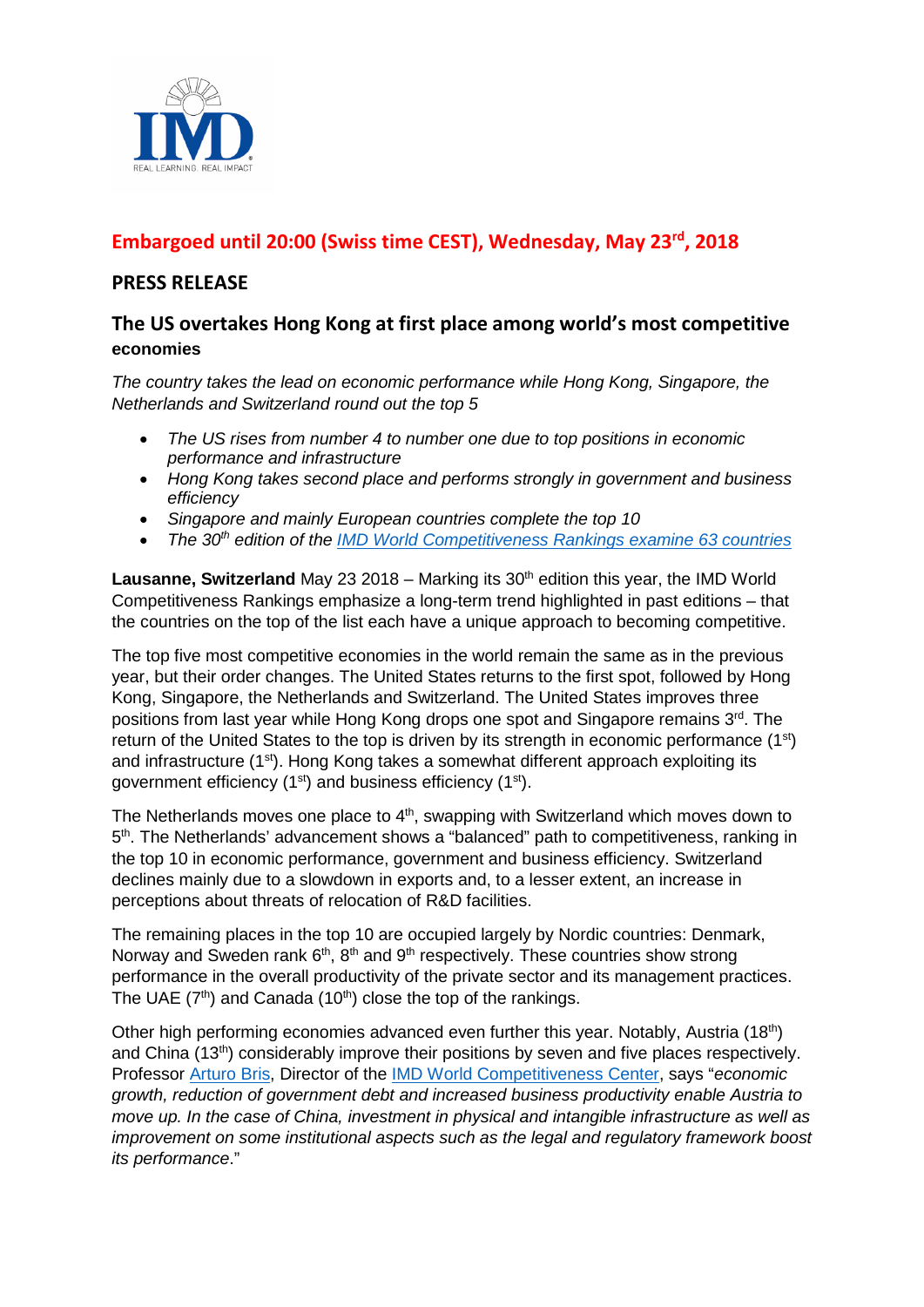

# **Embargoed until 20:00 (Swiss time CEST), Wednesday, May 23rd, 2018**

## **PRESS RELEASE**

## **The US overtakes Hong Kong at first place among world's most competitive economies**

*The country takes the lead on economic performance while Hong Kong, Singapore, the Netherlands and Switzerland round out the top 5*

- *The US rises from number 4 to number one due to top positions in economic performance and infrastructure*
- *Hong Kong takes second place and performs strongly in government and business efficiency*
- *Singapore and mainly European countries complete the top 10*
- *The 30th edition of the [IMD World Competitiveness Rankings examine](https://www.imd.org/wcc-press/home/?access=pressWCY2018) 63 countries*

**Lausanne, Switzerland** May 23 2018 – Marking its 30<sup>th</sup> edition this year, the IMD World Competitiveness Rankings emphasize a long-term trend highlighted in past editions – that the countries on the top of the list each have a unique approach to becoming competitive.

The top five most competitive economies in the world remain the same as in the previous year, but their order changes. The United States returns to the first spot, followed by Hong Kong, Singapore, the Netherlands and Switzerland. The United States improves three positions from last year while Hong Kong drops one spot and Singapore remains 3<sup>rd</sup>. The return of the United States to the top is driven by its strength in economic performance (1st) and infrastructure  $(1<sup>st</sup>)$ . Hong Kong takes a somewhat different approach exploiting its government efficiency  $(1<sup>st</sup>)$  and business efficiency  $(1<sup>st</sup>)$ .

The Netherlands moves one place to  $4<sup>th</sup>$ , swapping with Switzerland which moves down to 5<sup>th</sup>. The Netherlands' advancement shows a "balanced" path to competitiveness, ranking in the top 10 in economic performance, government and business efficiency. Switzerland declines mainly due to a slowdown in exports and, to a lesser extent, an increase in perceptions about threats of relocation of R&D facilities.

The remaining places in the top 10 are occupied largely by Nordic countries: Denmark, Norway and Sweden rank  $6<sup>th</sup>$ ,  $8<sup>th</sup>$  and  $9<sup>th</sup>$  respectively. These countries show strong performance in the overall productivity of the private sector and its management practices. The UAE  $(7<sup>th</sup>)$  and Canada  $(10<sup>th</sup>)$  close the top of the rankings.

Other high performing economies advanced even further this year. Notably, Austria (18th) and China (13th) considerably improve their positions by seven and five places respectively. Professor [Arturo Bris,](https://www.imd.org/faculty/professors/arturo-bris/) Director of the [IMD World Competitiveness Center,](https://www.imd.org/wcc/world-competitiveness-center/) says "*economic growth, reduction of government debt and increased business productivity enable Austria to move up. In the case of China, investment in physical and intangible infrastructure as well as improvement on some institutional aspects such as the legal and regulatory framework boost its performance*."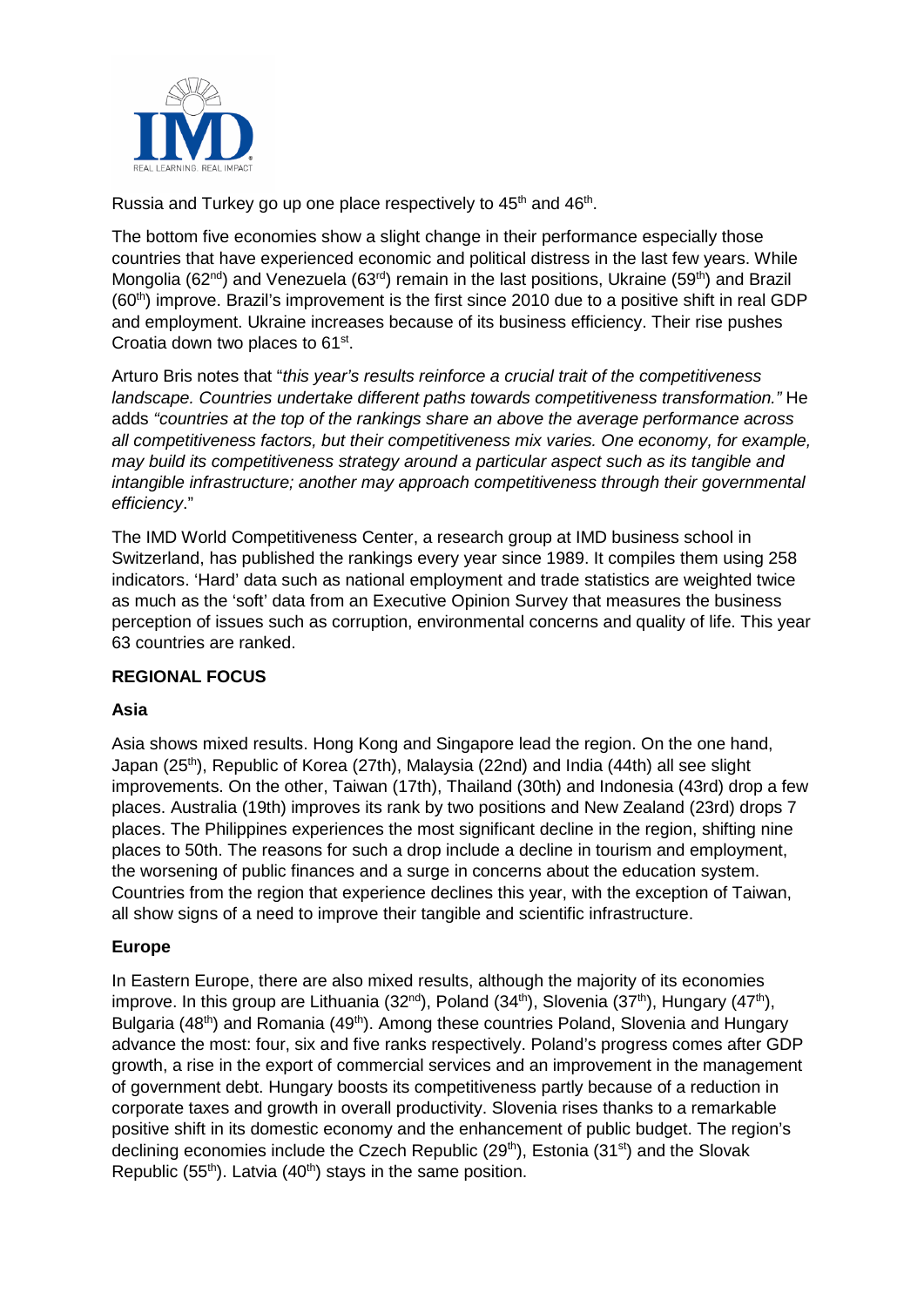

Russia and Turkey go up one place respectively to 45<sup>th</sup> and 46<sup>th</sup>.

The bottom five economies show a slight change in their performance especially those countries that have experienced economic and political distress in the last few years. While Mongolia (62<sup>nd</sup>) and Venezuela (63<sup>rd</sup>) remain in the last positions, Ukraine (59<sup>th</sup>) and Brazil  $(60<sup>th</sup>)$  improve. Brazil's improvement is the first since 2010 due to a positive shift in real GDP and employment. Ukraine increases because of its business efficiency. Their rise pushes Croatia down two places to 61st.

Arturo Bris notes that "*this year's results reinforce a crucial trait of the competitiveness landscape. Countries undertake different paths towards competitiveness transformation."* He adds *"countries at the top of the rankings share an above the average performance across all competitiveness factors, but their competitiveness mix varies. One economy, for example, may build its competitiveness strategy around a particular aspect such as its tangible and intangible infrastructure; another may approach competitiveness through their governmental efficiency*."

The IMD World Competitiveness Center, a research group at IMD business school in Switzerland, has published the rankings every year since 1989. It compiles them using 258 indicators. 'Hard' data such as national employment and trade statistics are weighted twice as much as the 'soft' data from an Executive Opinion Survey that measures the business perception of issues such as corruption, environmental concerns and quality of life. This year 63 countries are ranked.

## **REGIONAL FOCUS**

## **Asia**

Asia shows mixed results. Hong Kong and Singapore lead the region. On the one hand, Japan (25th), Republic of Korea (27th), Malaysia (22nd) and India (44th) all see slight improvements. On the other, Taiwan (17th), Thailand (30th) and Indonesia (43rd) drop a few places. Australia (19th) improves its rank by two positions and New Zealand (23rd) drops 7 places. The Philippines experiences the most significant decline in the region, shifting nine places to 50th. The reasons for such a drop include a decline in tourism and employment, the worsening of public finances and a surge in concerns about the education system. Countries from the region that experience declines this year, with the exception of Taiwan, all show signs of a need to improve their tangible and scientific infrastructure.

### **Europe**

In Eastern Europe, there are also mixed results, although the majority of its economies improve. In this group are Lithuania (32<sup>nd</sup>), Poland (34<sup>th</sup>), Slovenia (37<sup>th</sup>), Hungary (47<sup>th</sup>), Bulgaria (48<sup>th</sup>) and Romania (49<sup>th</sup>). Among these countries Poland, Slovenia and Hungary advance the most: four, six and five ranks respectively. Poland's progress comes after GDP growth, a rise in the export of commercial services and an improvement in the management of government debt. Hungary boosts its competitiveness partly because of a reduction in corporate taxes and growth in overall productivity. Slovenia rises thanks to a remarkable positive shift in its domestic economy and the enhancement of public budget. The region's declining economies include the Czech Republic (29<sup>th</sup>), Estonia (31<sup>st</sup>) and the Slovak Republic (55<sup>th</sup>). Latvia (40<sup>th</sup>) stays in the same position.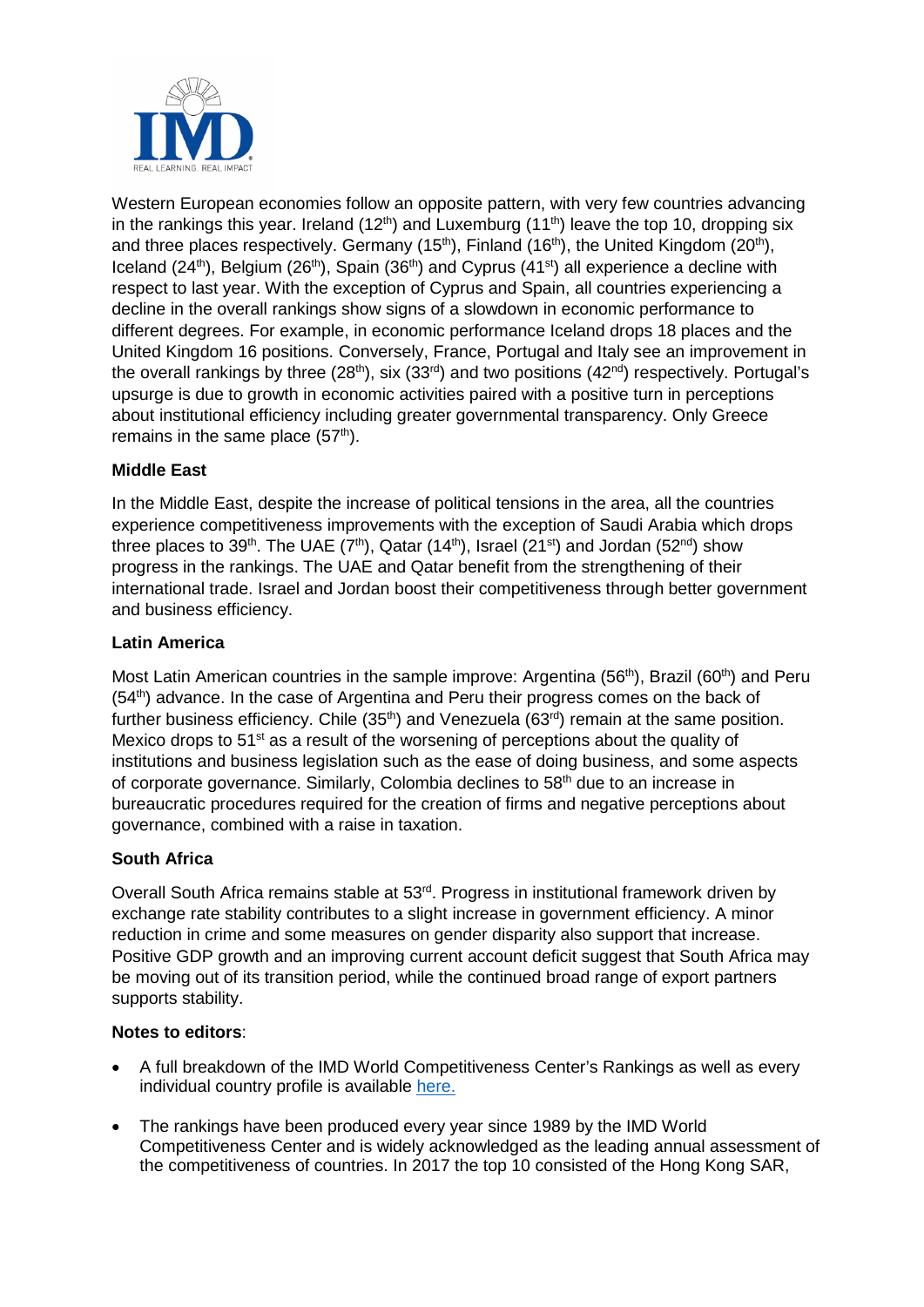

Western European economies follow an opposite pattern, with very few countries advancing in the rankings this year. Ireland (12<sup>th</sup>) and Luxemburg (11<sup>th</sup>) leave the top 10, dropping six and three places respectively. Germany (15<sup>th</sup>), Finland (16<sup>th</sup>), the United Kingdom (20<sup>th</sup>), Iceland (24<sup>th</sup>), Belgium (26<sup>th</sup>), Spain (36<sup>th</sup>) and Cyprus (41<sup>st</sup>) all experience a decline with respect to last year. With the exception of Cyprus and Spain, all countries experiencing a decline in the overall rankings show signs of a slowdown in economic performance to different degrees. For example, in economic performance Iceland drops 18 places and the United Kingdom 16 positions. Conversely, France, Portugal and Italy see an improvement in the overall rankings by three (28<sup>th</sup>), six (33<sup>rd</sup>) and two positions (42<sup>nd</sup>) respectively. Portugal's upsurge is due to growth in economic activities paired with a positive turn in perceptions about institutional efficiency including greater governmental transparency. Only Greece remains in the same place  $(57<sup>th</sup>)$ .

## **Middle East**

In the Middle East, despite the increase of political tensions in the area, all the countries experience competitiveness improvements with the exception of Saudi Arabia which drops three places to 39<sup>th</sup>. The UAE (7<sup>th</sup>), Qatar (14<sup>th</sup>), Israel (21<sup>st</sup>) and Jordan (52<sup>nd</sup>) show progress in the rankings. The UAE and Qatar benefit from the strengthening of their international trade. Israel and Jordan boost their competitiveness through better government and business efficiency.

### **Latin America**

Most Latin American countries in the sample improve: Argentina (56<sup>th</sup>), Brazil (60<sup>th</sup>) and Peru  $(54<sup>th</sup>)$  advance. In the case of Argentina and Peru their progress comes on the back of further business efficiency. Chile  $(35<sup>th</sup>)$  and Venezuela  $(63<sup>rd</sup>)$  remain at the same position. Mexico drops to  $51<sup>st</sup>$  as a result of the worsening of perceptions about the quality of institutions and business legislation such as the ease of doing business, and some aspects of corporate governance. Similarly, Colombia declines to 58<sup>th</sup> due to an increase in bureaucratic procedures required for the creation of firms and negative perceptions about governance, combined with a raise in taxation.

### **South Africa**

Overall South Africa remains stable at 53<sup>rd</sup>. Progress in institutional framework driven by exchange rate stability contributes to a slight increase in government efficiency. A minor reduction in crime and some measures on gender disparity also support that increase. Positive GDP growth and an improving current account deficit suggest that South Africa may be moving out of its transition period, while the continued broad range of export partners supports stability.

### **Notes to editors**:

- A full breakdown of the IMD World Competitiveness Center's Rankings as well as every individual country profile is available [here.](https://www.imd.org/wcc-press/home/?access=pressWCY2018)
- The rankings have been produced every year since 1989 by the IMD World Competitiveness Center and is widely acknowledged as the leading annual assessment of the competitiveness of countries. In 2017 the top 10 consisted of the Hong Kong SAR,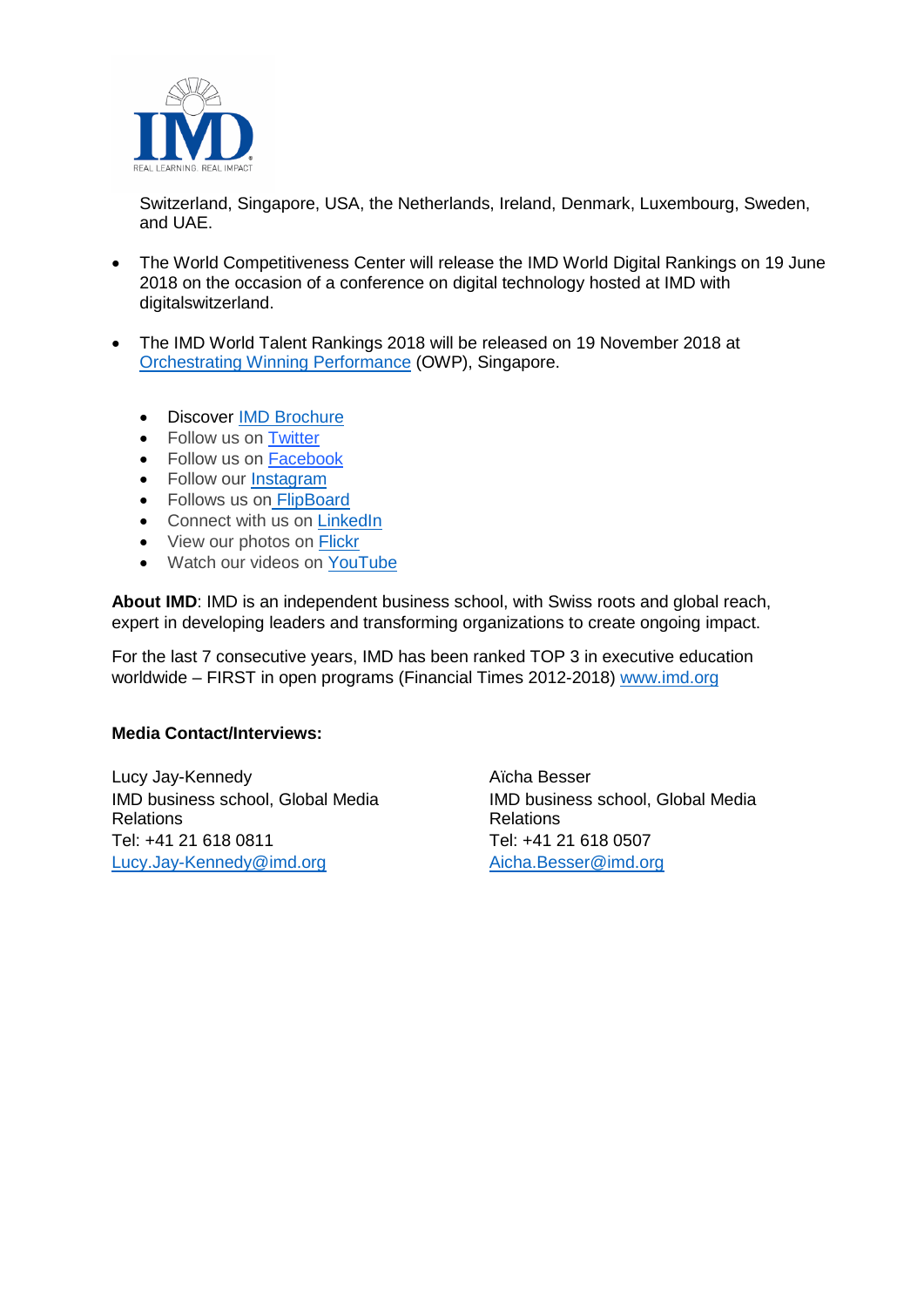

Switzerland, Singapore, USA, the Netherlands, Ireland, Denmark, Luxembourg, Sweden, and UAE.

- The World Competitiveness Center will release the IMD World Digital Rankings on 19 June 2018 on the occasion of a conference on digital technology hosted at IMD with digitalswitzerland.
- The IMD World Talent Rankings 2018 will be released on 19 November 2018 at [Orchestrating Winning Performance](http://www.imd.org/owp) (OWP), Singapore.
	- Discover [IMD Brochure](https://www.imd.org/globalassets/_public-for-all-sites/documents/IMD_Program_Activities_Portfolio_Overview.pdf)
	- Follow us on Twitter
	- Follow us on [Facebook](https://www.facebook.com/imdbschool/)
	- Follow our [Instagram](https://www.instagram.com/imdbusinessschool)
	- Follows us on [FlipBoard](https://flipboard.com/@imd_bschool)
	- Connect with us on [LinkedIn](https://www.linkedin.com/school/164323/)
	- View our photos on [Flickr](https://www.flickr.com/photos/imd_business_school/)
	- Watch our videos on [YouTube](https://www.youtube.com/user/IMD)

**About IMD**: IMD is an independent business school, with Swiss roots and global reach, expert in developing leaders and transforming organizations to create ongoing impact.

For the last 7 consecutive years, IMD has been ranked TOP 3 in executive education worldwide – FIRST in open programs (Financial Times 2012-2018) [www.imd.org](http://www.imd.org/)

### **Media Contact/Interviews:**

Lucy Jay-Kennedy IMD business school, Global Media Relations Tel: +41 21 618 0811 [Lucy.Jay-Kennedy@imd.org](mailto:Lucy.Jay-Kennedy@imd.org)

Aïcha Besser IMD business school, Global Media Relations Tel: +41 21 618 0507 [Aicha.Besser@imd.org](mailto:Aicha.Besser@imd.org)